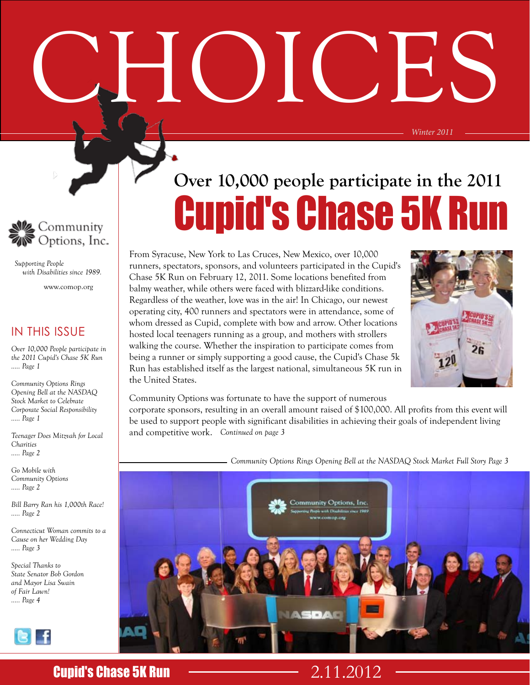CHOICES



 *Supporting People with Disabilities since 1989.*

www.comop.org

#### IN THIS ISSUE

*Over 10,000 People participate in the 2011 Cupid's Chase 5K Run ..... Page 1*

*Community Options Rings Opening Bell at the NASDAQ Stock Market to Celebrate Corporate Social Responsibility ..... Page 1*

*Teenager Does Mitzvah for Local Charities ..... Page 2*

*Go Mobile with Community Options ..... Page 2*

*Bill Barry Ran his 1,000th Race! ..... Page 2*

*Connecticut Woman commits to a Cause on her Wedding Day ..... Page 3*

*Special Thanks to State Senator Bob Gordon and Mayor Lisa Swain of Fair Lawn! ..... Page 4*

BLF

#### From Syracuse, New York to Las Cruces, New Mexico, over 10,000 runners, spectators, sponsors, and volunteers participated in the Cupid's Chase 5K Run on February 12, 2011. Some locations benefited from balmy weather, while others were faced with blizzard-like conditions. Regardless of the weather, love was in the air! In Chicago, our newest operating city, 400 runners and spectators were in attendance, some of whom dressed as Cupid, complete with bow and arrow. Other locations hosted local teenagers running as a group, and mothers with strollers



*Winter 2011*

Community Options was fortunate to have the support of numerous

the United States.

walking the course. Whether the inspiration to participate comes from being a runner or simply supporting a good cause, the Cupid's Chase 5k Run has established itself as the largest national, simultaneous 5K run in

*Continued on page 3* and competitive work. corporate sponsors, resulting in an overall amount raised of \$100,000. All profits from this event will be used to support people with significant disabilities in achieving their goals of independent living

Cupid's Chase 5K Run

**Over 10,000 people participate in the 2011** 

*Community Options Rings Opening Bell at the NASDAQ Stock Market Full Story Page 3*



### **Cupid's Chase 5K Run 2.11.2012**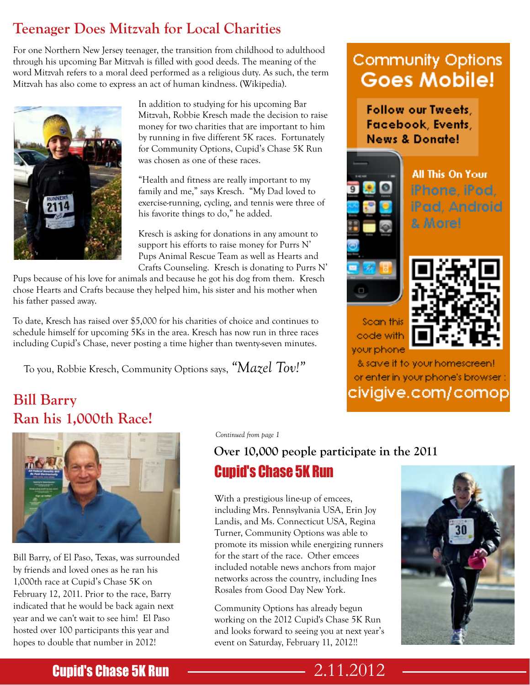## **Teenager Does Mitzvah for Local Charities**

For one Northern New Jersey teenager, the transition from childhood to adulthood through his upcoming Bar Mitzvah is filled with good deeds. The meaning of the word Mitzvah refers to a moral deed performed as a religious duty. As such, the term Mitzvah has also come to express an act of human kindness. (Wikipedia).



In addition to studying for his upcoming Bar Mitzvah, Robbie Kresch made the decision to raise money for two charities that are important to him by running in five different 5K races. Fortunately for Community Options, Cupid's Chase 5K Run was chosen as one of these races.

"Health and fitness are really important to my family and me," says Kresch. "My Dad loved to exercise-running, cycling, and tennis were three of his favorite things to do," he added.

Kresch is asking for donations in any amount to support his efforts to raise money for Purrs N' Pups Animal Rescue Team as well as Hearts and Crafts Counseling. Kresch is donating to Purrs N'

Pups because of his love for animals and because he got his dog from them. Kresch chose Hearts and Crafts because they helped him, his sister and his mother when his father passed away.

To date, Kresch has raised over \$5,000 for his charities of choice and continues to schedule himself for upcoming 5Ks in the area. Kresch has now run in three races including Cupid's Chase, never posting a time higher than twenty-seven minutes.

To you, Robbie Kresch, Community Options says, *"Mazel Tov!"*

## **Bill Barry Ran his 1,000th Race!**



Bill Barry, of El Paso, Texas, was surrounded by friends and loved ones as he ran his 1,000th race at Cupid's Chase 5K on February 12, 2011. Prior to the race, Barry indicated that he would be back again next year and we can't wait to see him! El Paso hosted over 100 participants this year and hopes to double that number in 2012!

*Continued from page 1*

#### **Over 10,000 people participate in the 2011**

## Cupid's Chase 5K Run

With a prestigious line-up of emcees, including Mrs. Pennsylvania USA, Erin Joy Landis, and Ms. Connecticut USA, Regina Turner, Community Options was able to promote its mission while energizing runners for the start of the race. Other emcees included notable news anchors from major networks across the country, including Ines Rosales from Good Day New York.

Community Options has already begun working on the 2012 Cupid's Chase 5K Run and looks forward to seeing you at next year's event on Saturday, February 11, 2012!!

# **Community Options Goes Mobile!**

**Follow our Tweets,** Facebook, Events, **News & Donate!** 



code with

**All This On Your** iPhone, iPod, iPad, Android & More!



& save if to your homescreen! or enter in your phone's browser : civigive.com/comop



### **Cupid's Chase 5K Run 2.11.2012**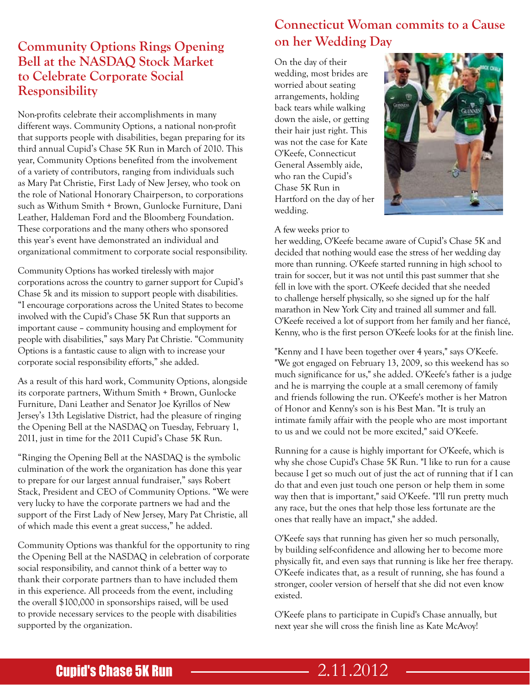#### **Community Options Rings Opening Bell at the NASDAQ Stock Market to Celebrate Corporate Social Responsibility**

Non-profits celebrate their accomplishments in many different ways. Community Options, a national non-profit that supports people with disabilities, began preparing for its third annual Cupid's Chase 5K Run in March of 2010. This year, Community Options benefited from the involvement of a variety of contributors, ranging from individuals such as Mary Pat Christie, First Lady of New Jersey, who took on the role of National Honorary Chairperson, to corporations such as Withum Smith + Brown, Gunlocke Furniture, Dani Leather, Haldeman Ford and the Bloomberg Foundation. These corporations and the many others who sponsored this year's event have demonstrated an individual and organizational commitment to corporate social responsibility.

Community Options has worked tirelessly with major corporations across the country to garner support for Cupid's Chase 5k and its mission to support people with disabilities. "I encourage corporations across the United States to become involved with the Cupid's Chase 5K Run that supports an important cause – community housing and employment for people with disabilities," says Mary Pat Christie. "Community Options is a fantastic cause to align with to increase your corporate social responsibility efforts," she added.

As a result of this hard work, Community Options, alongside its corporate partners, Withum Smith + Brown, Gunlocke Furniture, Dani Leather and Senator Joe Kyrillos of New Jersey's 13th Legislative District, had the pleasure of ringing the Opening Bell at the NASDAQ on Tuesday, February 1, 2011, just in time for the 2011 Cupid's Chase 5K Run.

"Ringing the Opening Bell at the NASDAQ is the symbolic culmination of the work the organization has done this year to prepare for our largest annual fundraiser," says Robert Stack, President and CEO of Community Options. "We were very lucky to have the corporate partners we had and the support of the First Lady of New Jersey, Mary Pat Christie, all of which made this event a great success," he added.

Community Options was thankful for the opportunity to ring the Opening Bell at the NASDAQ in celebration of corporate social responsibility, and cannot think of a better way to thank their corporate partners than to have included them in this experience. All proceeds from the event, including the overall \$100,000 in sponsorships raised, will be used to provide necessary services to the people with disabilities supported by the organization.

#### **Connecticut Woman commits to a Cause on her Wedding Day**

On the day of their wedding, most brides are worried about seating arrangements, holding back tears while walking down the aisle, or getting their hair just right. This was not the case for Kate O'Keefe, Connecticut General Assembly aide, who ran the Cupid's Chase 5K Run in Hartford on the day of her wedding.



A few weeks prior to

her wedding, O'Keefe became aware of Cupid's Chase 5K and decided that nothing would ease the stress of her wedding day more than running. O'Keefe started running in high school to train for soccer, but it was not until this past summer that she fell in love with the sport. O'Keefe decided that she needed to challenge herself physically, so she signed up for the half marathon in New York City and trained all summer and fall. O'Keefe received a lot of support from her family and her fiancé, Kenny, who is the first person O'Keefe looks for at the finish line.

"Kenny and I have been together over 4 years," says O'Keefe. "We got engaged on February 13, 2009, so this weekend has so much significance for us," she added. O'Keefe's father is a judge and he is marrying the couple at a small ceremony of family and friends following the run. O'Keefe's mother is her Matron of Honor and Kenny's son is his Best Man. "It is truly an intimate family affair with the people who are most important to us and we could not be more excited," said O'Keefe.

Running for a cause is highly important for O'Keefe, which is why she chose Cupid's Chase 5K Run. "I like to run for a cause because I get so much out of just the act of running that if I can do that and even just touch one person or help them in some way then that is important," said O'Keefe. "I'll run pretty much any race, but the ones that help those less fortunate are the ones that really have an impact," she added.

O'Keefe says that running has given her so much personally, by building self-confidence and allowing her to become more physically fit, and even says that running is like her free therapy. O'Keefe indicates that, as a result of running, she has found a stronger, cooler version of herself that she did not even know existed.

O'Keefe plans to participate in Cupid's Chase annually, but next year she will cross the finish line as Kate McAvoy!

## **Cupid's Chase 5K Run 2.11.2012**